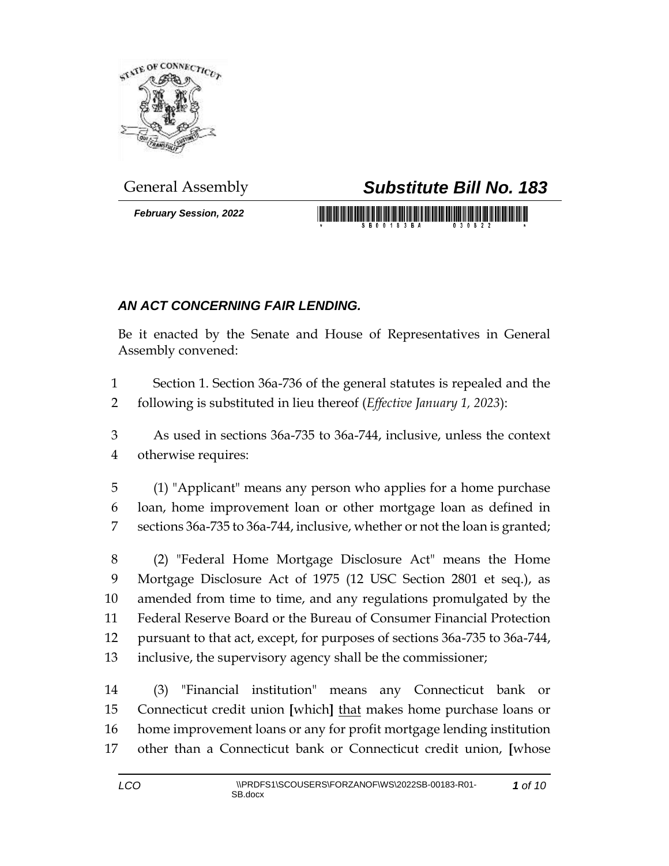

*February Session, 2022*

## General Assembly *Substitute Bill No. 183*

## *AN ACT CONCERNING FAIR LENDING.*

Be it enacted by the Senate and House of Representatives in General Assembly convened:

 Section 1. Section 36a-736 of the general statutes is repealed and the following is substituted in lieu thereof (*Effective January 1, 2023*):

 As used in sections 36a-735 to 36a-744, inclusive, unless the context otherwise requires:

 (1) "Applicant" means any person who applies for a home purchase loan, home improvement loan or other mortgage loan as defined in sections 36a-735 to 36a-744, inclusive, whether or not the loan is granted;

 (2) "Federal Home Mortgage Disclosure Act" means the Home Mortgage Disclosure Act of 1975 (12 USC Section 2801 et seq.), as amended from time to time, and any regulations promulgated by the Federal Reserve Board or the Bureau of Consumer Financial Protection pursuant to that act, except, for purposes of sections 36a-735 to 36a-744, inclusive, the supervisory agency shall be the commissioner;

 (3) "Financial institution" means any Connecticut bank or Connecticut credit union **[**which**]** that makes home purchase loans or home improvement loans or any for profit mortgage lending institution other than a Connecticut bank or Connecticut credit union, **[**whose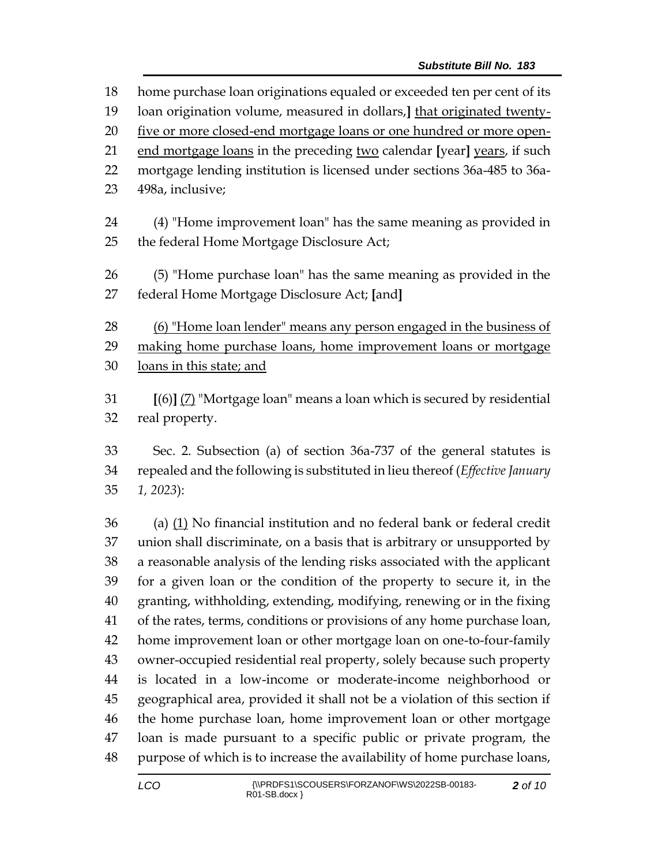| 18     | home purchase loan originations equaled or exceeded ten per cent of its      |  |  |
|--------|------------------------------------------------------------------------------|--|--|
| 19     | loan origination volume, measured in dollars, that originated twenty-        |  |  |
| 20     | five or more closed-end mortgage loans or one hundred or more open-          |  |  |
| 21     | end mortgage loans in the preceding two calendar [year] years, if such       |  |  |
| 22     | mortgage lending institution is licensed under sections 36a-485 to 36a-      |  |  |
| 23     | 498a, inclusive;                                                             |  |  |
| 24     | (4) "Home improvement loan" has the same meaning as provided in              |  |  |
| 25     | the federal Home Mortgage Disclosure Act;                                    |  |  |
| 26     |                                                                              |  |  |
|        | (5) "Home purchase loan" has the same meaning as provided in the             |  |  |
| 27     | federal Home Mortgage Disclosure Act; [and]                                  |  |  |
| 28     | (6) "Home loan lender" means any person engaged in the business of           |  |  |
| 29     | making home purchase loans, home improvement loans or mortgage               |  |  |
| 30     | loans in this state; and                                                     |  |  |
| 31     | [(6)] (7) "Mortgage loan" means a loan which is secured by residential       |  |  |
| 32     | real property.                                                               |  |  |
| 33     | Sec. 2. Subsection (a) of section 36a-737 of the general statutes is         |  |  |
| 34     | repealed and the following is substituted in lieu thereof (Effective January |  |  |
|        |                                                                              |  |  |
| 35     | $1, 2023$ :                                                                  |  |  |
| $\sim$ | $(1)$ (a) $\mathbf{r}$ (b) $(1)$ $(1)$ $(1)$ $(1)$ $(1)$ $(1)$               |  |  |

 (a) (1) No financial institution and no federal bank or federal credit union shall discriminate, on a basis that is arbitrary or unsupported by a reasonable analysis of the lending risks associated with the applicant for a given loan or the condition of the property to secure it, in the granting, withholding, extending, modifying, renewing or in the fixing of the rates, terms, conditions or provisions of any home purchase loan, home improvement loan or other mortgage loan on one-to-four-family owner-occupied residential real property, solely because such property is located in a low-income or moderate-income neighborhood or geographical area, provided it shall not be a violation of this section if the home purchase loan, home improvement loan or other mortgage loan is made pursuant to a specific public or private program, the purpose of which is to increase the availability of home purchase loans,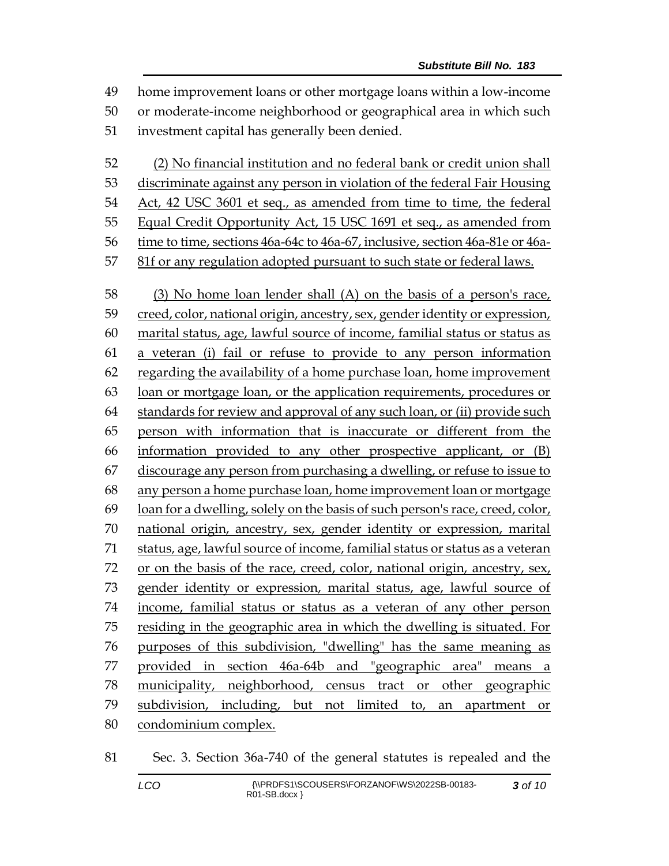home improvement loans or other mortgage loans within a low-income or moderate-income neighborhood or geographical area in which such investment capital has generally been denied. (2) No financial institution and no federal bank or credit union shall discriminate against any person in violation of the federal Fair Housing Act, 42 USC 3601 et seq., as amended from time to time, the federal Equal Credit Opportunity Act, 15 USC 1691 et seq., as amended from time to time, sections 46a-64c to 46a-67, inclusive, section 46a-81e or 46a- 81f or any regulation adopted pursuant to such state or federal laws. (3) No home loan lender shall (A) on the basis of a person's race, creed, color, national origin, ancestry, sex, gender identity or expression, marital status, age, lawful source of income, familial status or status as a veteran (i) fail or refuse to provide to any person information regarding the availability of a home purchase loan, home improvement loan or mortgage loan, or the application requirements, procedures or standards for review and approval of any such loan, or (ii) provide such person with information that is inaccurate or different from the information provided to any other prospective applicant, or (B) discourage any person from purchasing a dwelling, or refuse to issue to any person a home purchase loan, home improvement loan or mortgage loan for a dwelling, solely on the basis of such person's race, creed, color, national origin, ancestry, sex, gender identity or expression, marital status, age, lawful source of income, familial status or status as a veteran or on the basis of the race, creed, color, national origin, ancestry, sex, gender identity or expression, marital status, age, lawful source of income, familial status or status as a veteran of any other person residing in the geographic area in which the dwelling is situated. For purposes of this subdivision, "dwelling" has the same meaning as provided in section 46a-64b and "geographic area" means a

- municipality, neighborhood, census tract or other geographic subdivision, including, but not limited to, an apartment or
- condominium complex.

Sec. 3. Section 36a-740 of the general statutes is repealed and the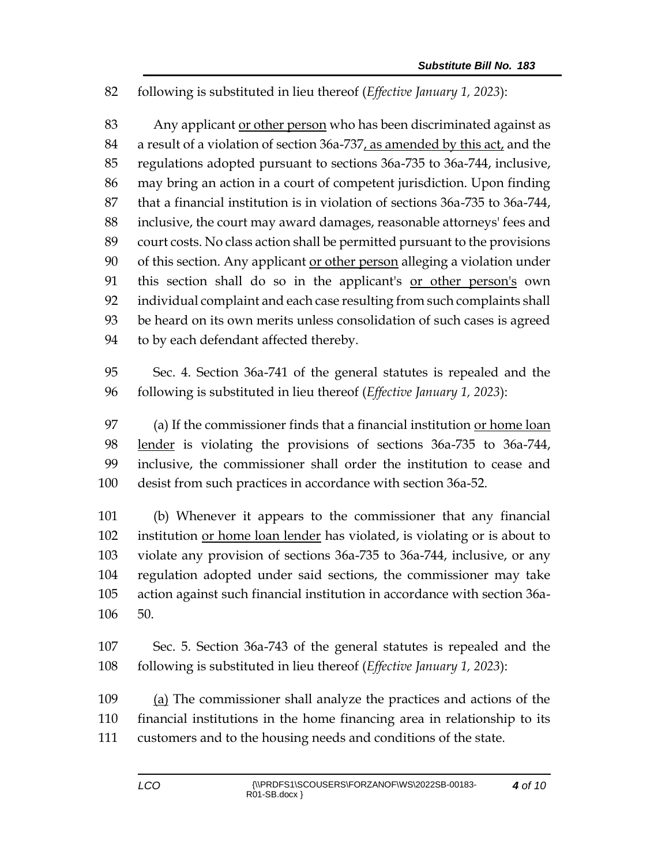following is substituted in lieu thereof (*Effective January 1, 2023*):

 Any applicant or other person who has been discriminated against as a result of a violation of section 36a-737, as amended by this act, and the regulations adopted pursuant to sections 36a-735 to 36a-744, inclusive, may bring an action in a court of competent jurisdiction. Upon finding that a financial institution is in violation of sections 36a-735 to 36a-744, inclusive, the court may award damages, reasonable attorneys' fees and court costs. No class action shall be permitted pursuant to the provisions of this section. Any applicant or other person alleging a violation under 91 this section shall do so in the applicant's or other person's own individual complaint and each case resulting from such complaints shall be heard on its own merits unless consolidation of such cases is agreed to by each defendant affected thereby.

 Sec. 4. Section 36a-741 of the general statutes is repealed and the following is substituted in lieu thereof (*Effective January 1, 2023*):

 (a) If the commissioner finds that a financial institution or home loan lender is violating the provisions of sections 36a-735 to 36a-744, inclusive, the commissioner shall order the institution to cease and desist from such practices in accordance with section 36a-52.

 (b) Whenever it appears to the commissioner that any financial institution or home loan lender has violated, is violating or is about to violate any provision of sections 36a-735 to 36a-744, inclusive, or any regulation adopted under said sections, the commissioner may take action against such financial institution in accordance with section 36a-50.

 Sec. 5. Section 36a-743 of the general statutes is repealed and the following is substituted in lieu thereof (*Effective January 1, 2023*):

 (a) The commissioner shall analyze the practices and actions of the financial institutions in the home financing area in relationship to its customers and to the housing needs and conditions of the state.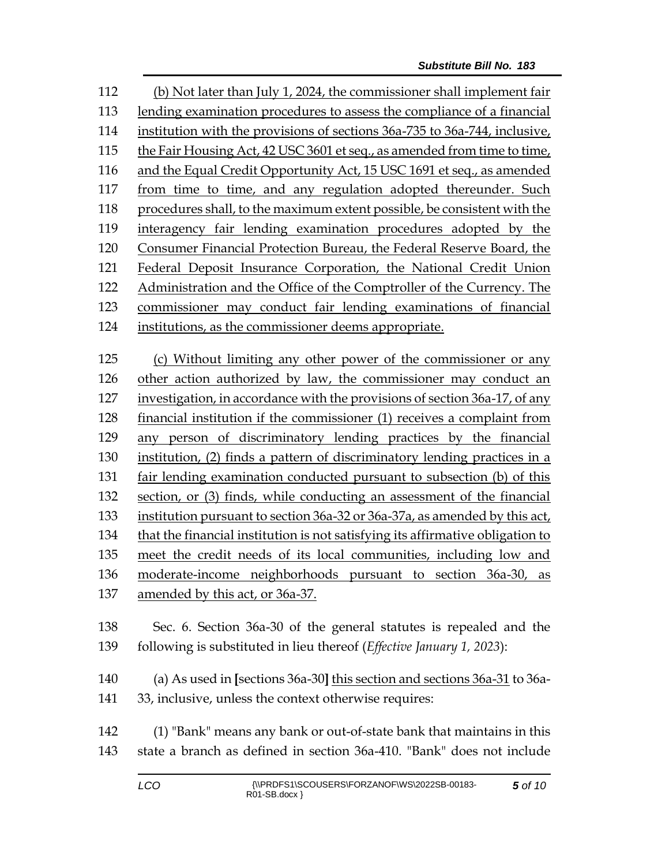(b) Not later than July 1, 2024, the commissioner shall implement fair lending examination procedures to assess the compliance of a financial institution with the provisions of sections 36a-735 to 36a-744, inclusive, the Fair Housing Act, 42 USC 3601 et seq., as amended from time to time, and the Equal Credit Opportunity Act, 15 USC 1691 et seq., as amended from time to time, and any regulation adopted thereunder. Such procedures shall, to the maximum extent possible, be consistent with the interagency fair lending examination procedures adopted by the Consumer Financial Protection Bureau, the Federal Reserve Board, the Federal Deposit Insurance Corporation, the National Credit Union Administration and the Office of the Comptroller of the Currency. The commissioner may conduct fair lending examinations of financial institutions, as the commissioner deems appropriate. (c) Without limiting any other power of the commissioner or any other action authorized by law, the commissioner may conduct an investigation, in accordance with the provisions of section 36a-17, of any financial institution if the commissioner (1) receives a complaint from

 any person of discriminatory lending practices by the financial institution, (2) finds a pattern of discriminatory lending practices in a

 fair lending examination conducted pursuant to subsection (b) of this section, or (3) finds, while conducting an assessment of the financial

institution pursuant to section 36a-32 or 36a-37a, as amended by this act,

that the financial institution is not satisfying its affirmative obligation to

meet the credit needs of its local communities, including low and

moderate-income neighborhoods pursuant to section 36a-30, as

amended by this act, or 36a-37.

 Sec. 6. Section 36a-30 of the general statutes is repealed and the following is substituted in lieu thereof (*Effective January 1, 2023*):

 (a) As used in **[**sections 36a-30**]** this section and sections 36a-31 to 36a-33, inclusive, unless the context otherwise requires:

 (1) "Bank" means any bank or out-of-state bank that maintains in this state a branch as defined in section 36a-410. "Bank" does not include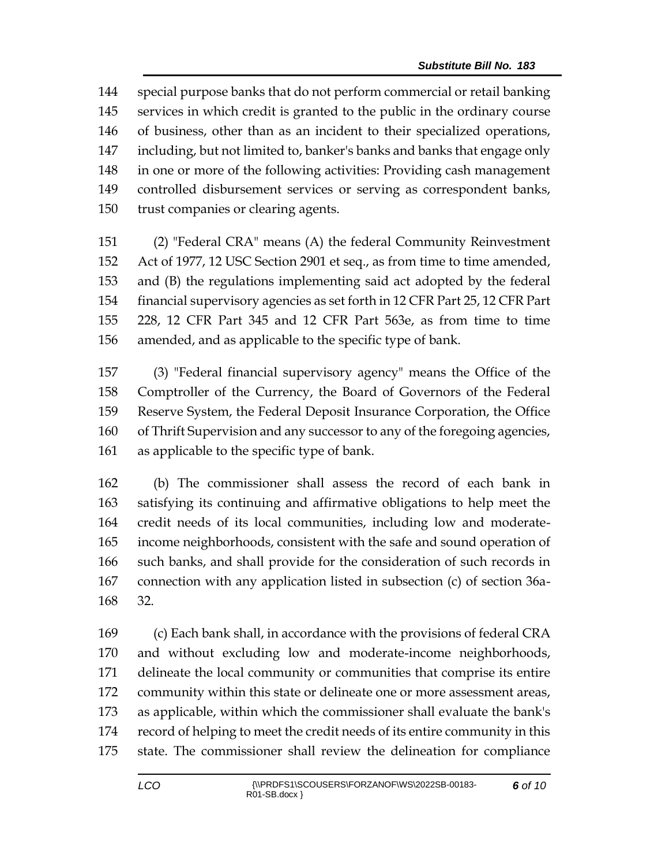special purpose banks that do not perform commercial or retail banking services in which credit is granted to the public in the ordinary course of business, other than as an incident to their specialized operations, including, but not limited to, banker's banks and banks that engage only in one or more of the following activities: Providing cash management controlled disbursement services or serving as correspondent banks, trust companies or clearing agents.

 (2) "Federal CRA" means (A) the federal Community Reinvestment Act of 1977, 12 USC Section 2901 et seq., as from time to time amended, and (B) the regulations implementing said act adopted by the federal financial supervisory agencies as set forth in 12 CFR Part 25, 12 CFR Part 228, 12 CFR Part 345 and 12 CFR Part 563e, as from time to time amended, and as applicable to the specific type of bank.

 (3) "Federal financial supervisory agency" means the Office of the Comptroller of the Currency, the Board of Governors of the Federal Reserve System, the Federal Deposit Insurance Corporation, the Office of Thrift Supervision and any successor to any of the foregoing agencies, as applicable to the specific type of bank.

 (b) The commissioner shall assess the record of each bank in satisfying its continuing and affirmative obligations to help meet the credit needs of its local communities, including low and moderate- income neighborhoods, consistent with the safe and sound operation of such banks, and shall provide for the consideration of such records in connection with any application listed in subsection (c) of section 36a-32.

 (c) Each bank shall, in accordance with the provisions of federal CRA and without excluding low and moderate-income neighborhoods, delineate the local community or communities that comprise its entire community within this state or delineate one or more assessment areas, as applicable, within which the commissioner shall evaluate the bank's record of helping to meet the credit needs of its entire community in this state. The commissioner shall review the delineation for compliance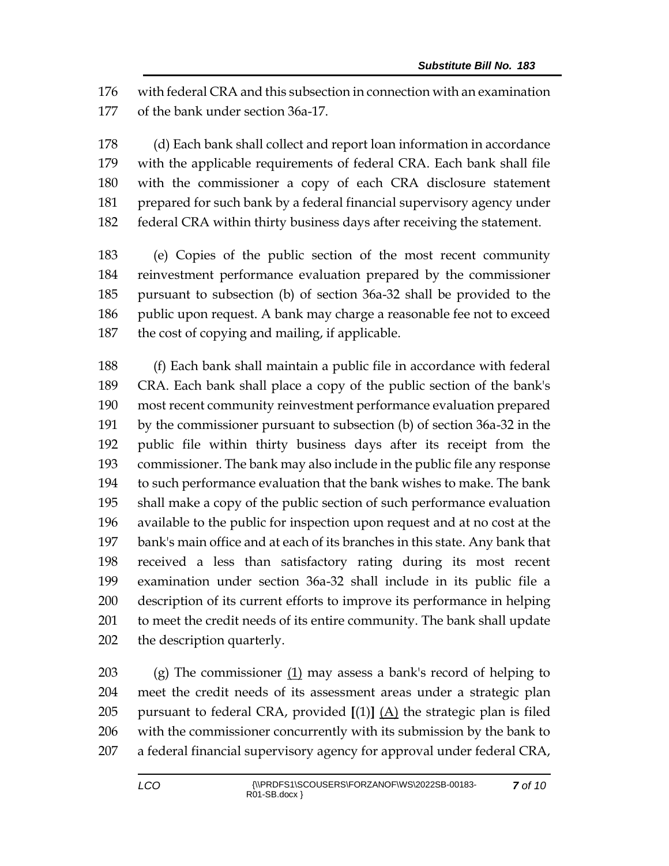with federal CRA and this subsection in connection with an examination of the bank under section 36a-17.

 (d) Each bank shall collect and report loan information in accordance with the applicable requirements of federal CRA. Each bank shall file with the commissioner a copy of each CRA disclosure statement prepared for such bank by a federal financial supervisory agency under federal CRA within thirty business days after receiving the statement.

 (e) Copies of the public section of the most recent community reinvestment performance evaluation prepared by the commissioner pursuant to subsection (b) of section 36a-32 shall be provided to the public upon request. A bank may charge a reasonable fee not to exceed the cost of copying and mailing, if applicable.

 (f) Each bank shall maintain a public file in accordance with federal CRA. Each bank shall place a copy of the public section of the bank's most recent community reinvestment performance evaluation prepared by the commissioner pursuant to subsection (b) of section 36a-32 in the public file within thirty business days after its receipt from the commissioner. The bank may also include in the public file any response to such performance evaluation that the bank wishes to make. The bank shall make a copy of the public section of such performance evaluation available to the public for inspection upon request and at no cost at the bank's main office and at each of its branches in this state. Any bank that received a less than satisfactory rating during its most recent examination under section 36a-32 shall include in its public file a description of its current efforts to improve its performance in helping to meet the credit needs of its entire community. The bank shall update the description quarterly.

203 (g) The commissioner  $(1)$  may assess a bank's record of helping to meet the credit needs of its assessment areas under a strategic plan 205 pursuant to federal CRA, provided  $[(1)]$   $(A)$  the strategic plan is filed with the commissioner concurrently with its submission by the bank to a federal financial supervisory agency for approval under federal CRA,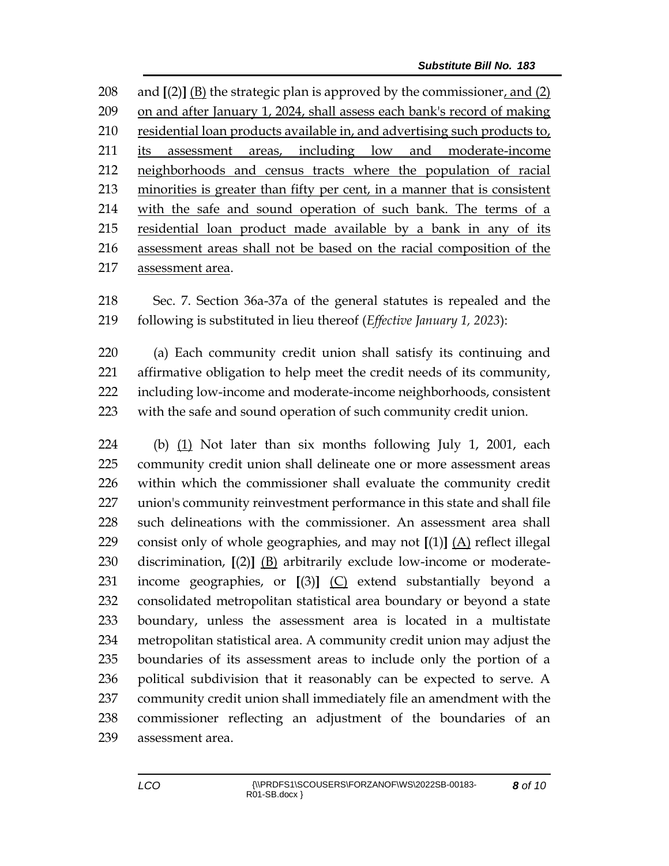and **[**(2)**]** (B) the strategic plan is approved by the commissioner, and (2) on and after January 1, 2024, shall assess each bank's record of making 210 residential loan products available in, and advertising such products to, 211 its assessment areas, including low and moderate-income neighborhoods and census tracts where the population of racial minorities is greater than fifty per cent, in a manner that is consistent with the safe and sound operation of such bank. The terms of a residential loan product made available by a bank in any of its assessment areas shall not be based on the racial composition of the assessment area.

 Sec. 7. Section 36a-37a of the general statutes is repealed and the following is substituted in lieu thereof (*Effective January 1, 2023*):

 (a) Each community credit union shall satisfy its continuing and affirmative obligation to help meet the credit needs of its community, including low-income and moderate-income neighborhoods, consistent with the safe and sound operation of such community credit union.

 (b) (1) Not later than six months following July 1, 2001, each community credit union shall delineate one or more assessment areas within which the commissioner shall evaluate the community credit union's community reinvestment performance in this state and shall file such delineations with the commissioner. An assessment area shall consist only of whole geographies, and may not **[**(1)**]** (A) reflect illegal discrimination, **[**(2)**]** (B) arbitrarily exclude low-income or moderate- income geographies, or **[**(3)**]** (C) extend substantially beyond a consolidated metropolitan statistical area boundary or beyond a state boundary, unless the assessment area is located in a multistate metropolitan statistical area. A community credit union may adjust the boundaries of its assessment areas to include only the portion of a political subdivision that it reasonably can be expected to serve. A community credit union shall immediately file an amendment with the commissioner reflecting an adjustment of the boundaries of an assessment area.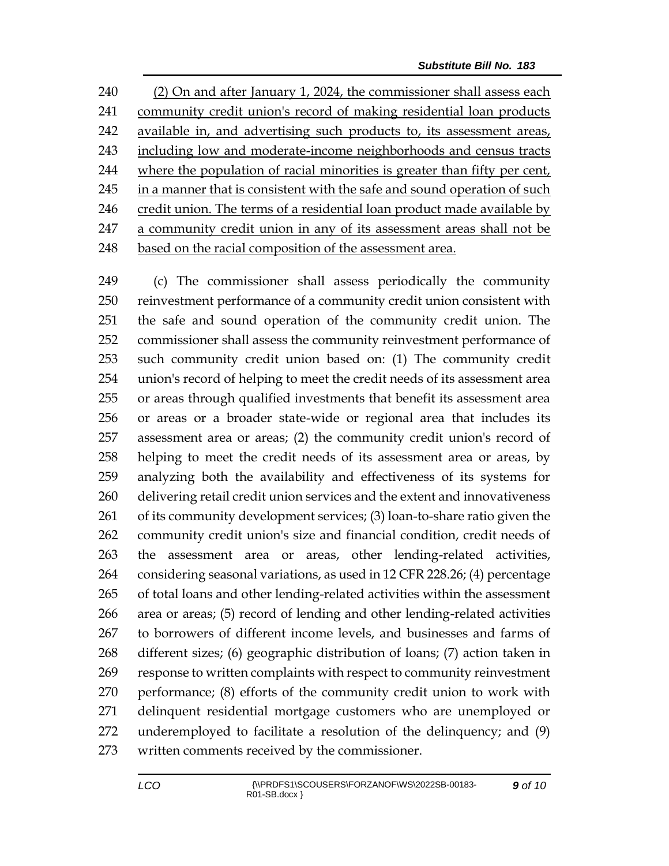(2) On and after January 1, 2024, the commissioner shall assess each community credit union's record of making residential loan products available in, and advertising such products to, its assessment areas, including low and moderate-income neighborhoods and census tracts where the population of racial minorities is greater than fifty per cent, 245 in a manner that is consistent with the safe and sound operation of such 246 credit union. The terms of a residential loan product made available by a community credit union in any of its assessment areas shall not be 248 based on the racial composition of the assessment area.

 (c) The commissioner shall assess periodically the community reinvestment performance of a community credit union consistent with the safe and sound operation of the community credit union. The commissioner shall assess the community reinvestment performance of such community credit union based on: (1) The community credit union's record of helping to meet the credit needs of its assessment area or areas through qualified investments that benefit its assessment area or areas or a broader state-wide or regional area that includes its assessment area or areas; (2) the community credit union's record of helping to meet the credit needs of its assessment area or areas, by analyzing both the availability and effectiveness of its systems for delivering retail credit union services and the extent and innovativeness of its community development services; (3) loan-to-share ratio given the community credit union's size and financial condition, credit needs of the assessment area or areas, other lending-related activities, considering seasonal variations, as used in 12 CFR 228.26; (4) percentage of total loans and other lending-related activities within the assessment area or areas; (5) record of lending and other lending-related activities to borrowers of different income levels, and businesses and farms of different sizes; (6) geographic distribution of loans; (7) action taken in response to written complaints with respect to community reinvestment performance; (8) efforts of the community credit union to work with delinquent residential mortgage customers who are unemployed or underemployed to facilitate a resolution of the delinquency; and (9) written comments received by the commissioner.